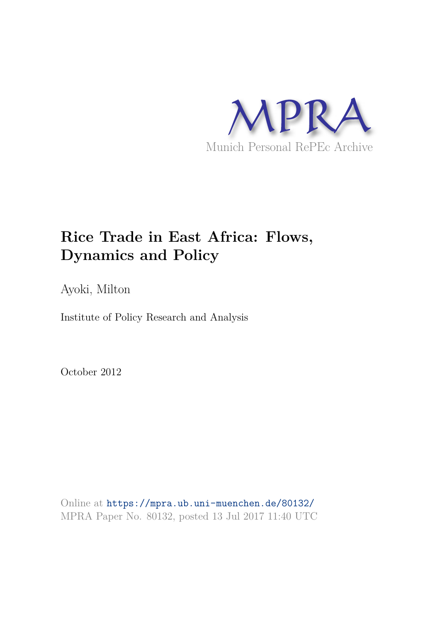

## **Rice Trade in East Africa: Flows, Dynamics and Policy**

Ayoki, Milton

Institute of Policy Research and Analysis

October 2012

Online at https://mpra.ub.uni-muenchen.de/80132/ MPRA Paper No. 80132, posted 13 Jul 2017 11:40 UTC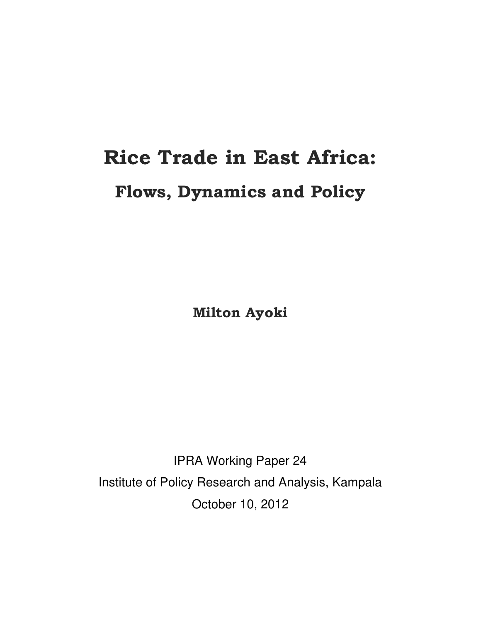# **Rice Trade in East Africa: Flows, Dynamics and Policy**

**Milton Ayoki** 

IPRA Working Paper 24 Institute of Policy Research and Analysis, Kampala October 10, 2012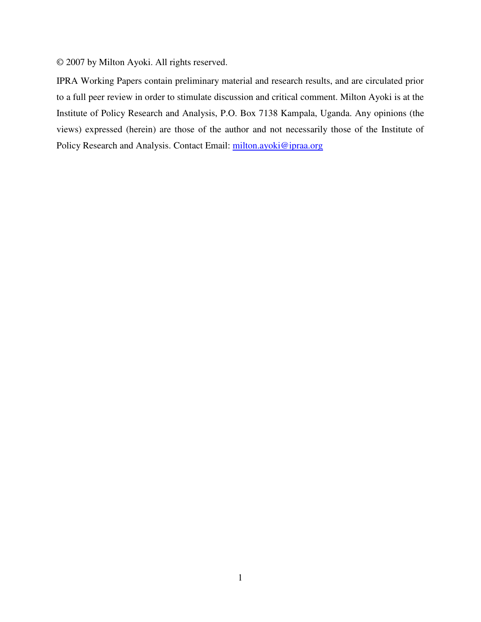© 2007 by Milton Ayoki. All rights reserved.

IPRA Working Papers contain preliminary material and research results, and are circulated prior to a full peer review in order to stimulate discussion and critical comment. Milton Ayoki is at the Institute of Policy Research and Analysis, P.O. Box 7138 Kampala, Uganda. Any opinions (the views) expressed (herein) are those of the author and not necessarily those of the Institute of Policy Research and Analysis. Contact Email: milton.ayoki@ipraa.org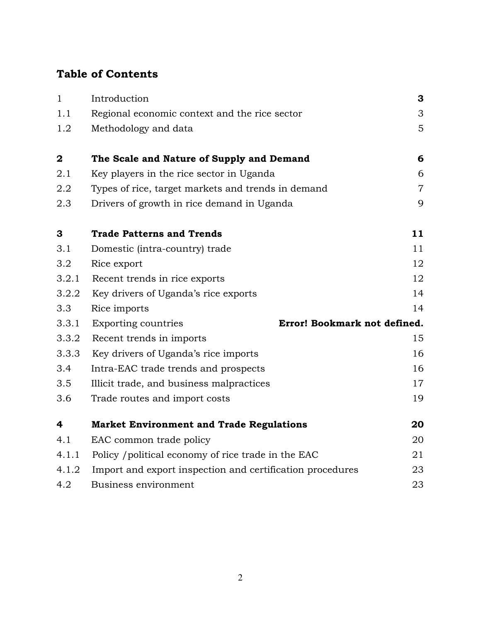## **Table of Contents**

| $\mathbf{1}$ | Introduction                                               | 3              |
|--------------|------------------------------------------------------------|----------------|
| 1.1          | Regional economic context and the rice sector              | 3              |
| 1.2          | Methodology and data                                       | 5              |
| $\mathbf 2$  | The Scale and Nature of Supply and Demand                  | 6              |
| 2.1          | Key players in the rice sector in Uganda                   | 6              |
| 2.2          | Types of rice, target markets and trends in demand         | $\overline{7}$ |
| 2.3          | Drivers of growth in rice demand in Uganda                 | 9              |
| 3            | <b>Trade Patterns and Trends</b>                           | 11             |
| 3.1          | Domestic (intra-country) trade                             | 11             |
| 3.2          | Rice export                                                | 12             |
| 3.2.1        | Recent trends in rice exports                              | 12             |
| 3.2.2        | Key drivers of Uganda's rice exports                       | 14             |
| 3.3          | Rice imports                                               | 14             |
| 3.3.1        | Error! Bookmark not defined.<br><b>Exporting countries</b> |                |
| 3.3.2        | Recent trends in imports                                   | 15             |
| 3.3.3        | Key drivers of Uganda's rice imports                       | 16             |
| 3.4          | Intra-EAC trade trends and prospects                       | 16             |
| 3.5          | Illicit trade, and business malpractices                   | 17             |
| 3.6          | Trade routes and import costs                              | 19             |
| 4            | <b>Market Environment and Trade Regulations</b>            | 20             |
| 4.1          | EAC common trade policy                                    | 20             |
| 4.1.1        | Policy / political economy of rice trade in the EAC        | 21             |
| 4.1.2        | Import and export inspection and certification procedures  | 23             |
| 4.2          | Business environment                                       | 23             |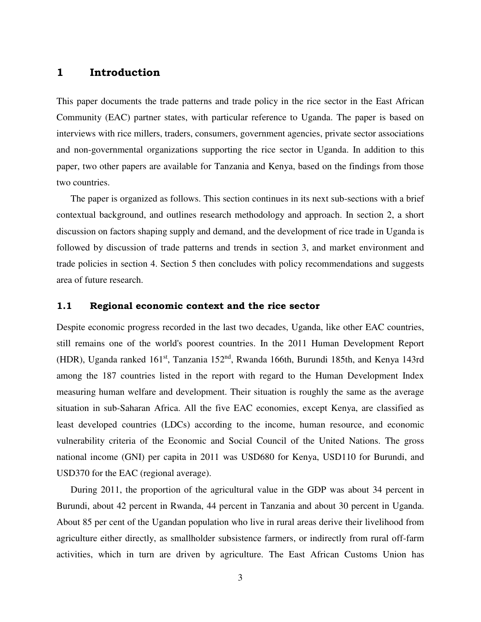#### <span id="page-4-0"></span>**1 Introduction**

This paper documents the trade patterns and trade policy in the rice sector in the East African Community (EAC) partner states, with particular reference to Uganda. The paper is based on interviews with rice millers, traders, consumers, government agencies, private sector associations and non-governmental organizations supporting the rice sector in Uganda. In addition to this paper, two other papers are available for Tanzania and Kenya, based on the findings from those two countries.

The paper is organized as follows. This section continues in its next sub-sections with a brief contextual background, and outlines research methodology and approach. In section 2, a short discussion on factors shaping supply and demand, and the development of rice trade in Uganda is followed by discussion of trade patterns and trends in section 3, and market environment and trade policies in section 4. Section 5 then concludes with policy recommendations and suggests area of future research.

#### <span id="page-4-1"></span>**1.1 Regional economic context and the rice sector**

Despite economic progress recorded in the last two decades, Uganda, like other EAC countries, still remains one of the world's poorest countries. In the 2011 Human Development Report (HDR), Uganda ranked  $161<sup>st</sup>$ , Tanzania 152<sup>nd</sup>, Rwanda 166th, Burundi 185th, and Kenya 143rd among the 187 countries listed in the report with regard to the Human Development Index measuring human welfare and development. Their situation is roughly the same as the average situation in sub-Saharan Africa. All the five EAC economies, except Kenya, are classified as least developed countries (LDCs) according to the income, human resource, and economic vulnerability criteria of the Economic and Social Council of the United Nations. The gross national income (GNI) per capita in 2011 was USD680 for Kenya, USD110 for Burundi, and USD370 for the EAC (regional average).

During 2011, the proportion of the agricultural value in the GDP was about 34 percent in Burundi, about 42 percent in Rwanda, 44 percent in Tanzania and about 30 percent in Uganda. About 85 per cent of the Ugandan population who live in rural areas derive their livelihood from agriculture either directly, as smallholder subsistence farmers, or indirectly from rural off-farm activities, which in turn are driven by agriculture. The East African Customs Union has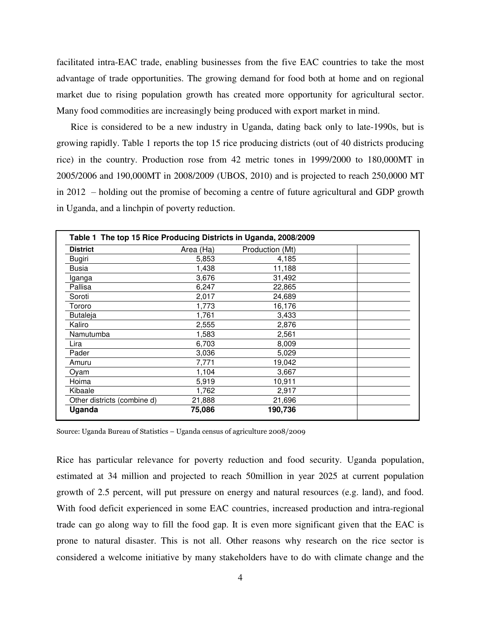facilitated intra-EAC trade, enabling businesses from the five EAC countries to take the most advantage of trade opportunities. The growing demand for food both at home and on regional market due to rising population growth has created more opportunity for agricultural sector. Many food commodities are increasingly being produced with export market in mind.

Rice is considered to be a new industry in Uganda, dating back only to late-1990s, but is growing rapidly. Table 1 reports the top 15 rice producing districts (out of 40 districts producing rice) in the country. Production rose from 42 metric tones in 1999/2000 to 180,000MT in 2005/2006 and 190,000MT in 2008/2009 (UBOS, 2010) and is projected to reach 250,0000 MT in 2012 – holding out the promise of becoming a centre of future agricultural and GDP growth in Uganda, and a linchpin of poverty reduction.

| Table 1 The top 15 Rice Producing Districts in Uganda, 2008/2009 |           |                 |  |  |
|------------------------------------------------------------------|-----------|-----------------|--|--|
| <b>District</b>                                                  | Area (Ha) | Production (Mt) |  |  |
| <b>Bugiri</b>                                                    | 5,853     | 4,185           |  |  |
| Busia                                                            | 1,438     | 11,188          |  |  |
| Iganga                                                           | 3,676     | 31,492          |  |  |
| Pallisa                                                          | 6,247     | 22,865          |  |  |
| Soroti                                                           | 2,017     | 24,689          |  |  |
| Tororo                                                           | 1,773     | 16,176          |  |  |
| <b>Butaleja</b>                                                  | 1,761     | 3,433           |  |  |
| Kaliro                                                           | 2,555     | 2,876           |  |  |
| Namutumba                                                        | 1,583     | 2,561           |  |  |
| Lira                                                             | 6,703     | 8,009           |  |  |
| Pader                                                            | 3,036     | 5,029           |  |  |
| Amuru                                                            | 7,771     | 19,042          |  |  |
| Oyam                                                             | 1,104     | 3,667           |  |  |
| Hoima                                                            | 5,919     | 10,911          |  |  |
| Kibaale                                                          | 1,762     | 2,917           |  |  |
| Other districts (combine d)                                      | 21,888    | 21,696          |  |  |
| Uganda                                                           | 75,086    | 190,736         |  |  |

Source: Uganda Bureau of Statistics – Uganda census of agriculture 2008/2009

Rice has particular relevance for poverty reduction and food security. Uganda population, estimated at 34 million and projected to reach 50million in year 2025 at current population growth of 2.5 percent, will put pressure on energy and natural resources (e.g. land), and food. With food deficit experienced in some EAC countries, increased production and intra-regional trade can go along way to fill the food gap. It is even more significant given that the EAC is prone to natural disaster. This is not all. Other reasons why research on the rice sector is considered a welcome initiative by many stakeholders have to do with climate change and the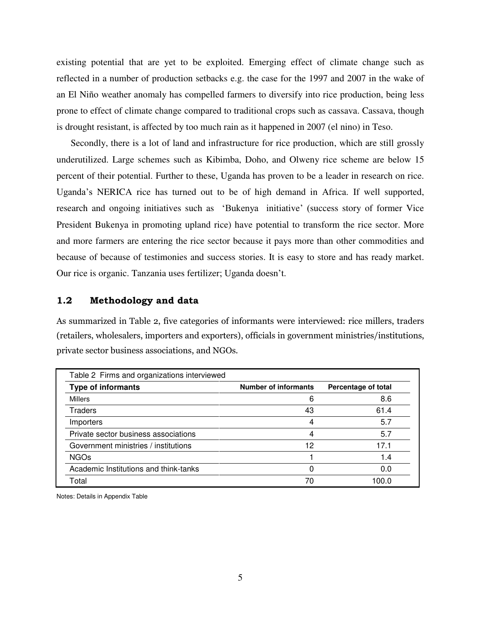existing potential that are yet to be exploited. Emerging effect of climate change such as reflected in a number of production setbacks e.g. the case for the 1997 and 2007 in the wake of an El Niño weather anomaly has compelled farmers to diversify into rice production, being less prone to effect of climate change compared to traditional crops such as cassava. Cassava, though is drought resistant, is affected by too much rain as it happened in 2007 (el nino) in Teso.

Secondly, there is a lot of land and infrastructure for rice production, which are still grossly underutilized. Large schemes such as Kibimba, Doho, and Olweny rice scheme are below 15 percent of their potential. Further to these, Uganda has proven to be a leader in research on rice. Uganda's NERICA rice has turned out to be of high demand in Africa. If well supported, research and ongoing initiatives such as 'Bukenya initiative' (success story of former Vice President Bukenya in promoting upland rice) have potential to transform the rice sector. More and more farmers are entering the rice sector because it pays more than other commodities and because of because of testimonies and success stories. It is easy to store and has ready market. Our rice is organic. Tanzania uses fertilizer; Uganda doesn't.

#### <span id="page-6-0"></span>**1.2 Methodology and data**

As summarized in Table 2, five categories of informants were interviewed: rice millers, traders (retailers, wholesalers, importers and exporters), officials in government ministries/institutions, private sector business associations, and NGOs.

| Table 2 Firms and organizations interviewed |                             |                     |
|---------------------------------------------|-----------------------------|---------------------|
| <b>Type of informants</b>                   | <b>Number of informants</b> | Percentage of total |
| Millers                                     | 6                           | 8.6                 |
| Traders                                     | 43                          | 61.4                |
| Importers                                   | 4                           | 5.7                 |
| Private sector business associations        | 4                           | 5.7                 |
| Government ministries / institutions        | 12                          | 17.1                |
| <b>NGOs</b>                                 |                             | 1.4                 |
| Academic Institutions and think-tanks       | 0                           | 0.0                 |
| Total                                       | 70                          |                     |

Notes: Details in Appendix Table

٦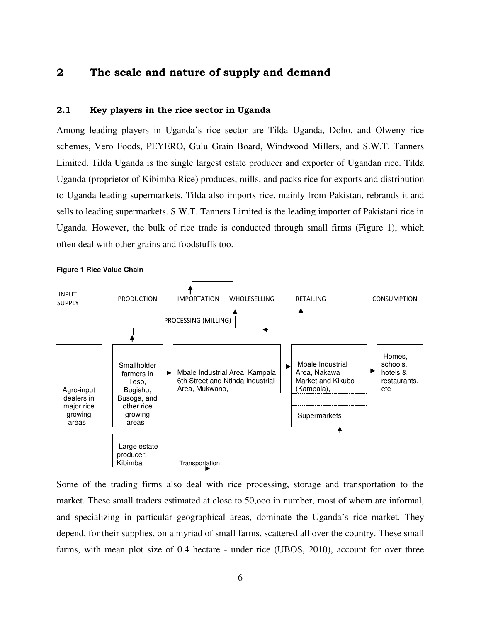#### <span id="page-7-0"></span>**2 The scale and nature of supply and demand**

#### <span id="page-7-1"></span>**2.1 Key players in the rice sector in Uganda**

Among leading players in Uganda's rice sector are Tilda Uganda, Doho, and Olweny rice schemes, Vero Foods, PEYERO, Gulu Grain Board, Windwood Millers, and S.W.T. Tanners Limited. Tilda Uganda is the single largest estate producer and exporter of Ugandan rice. Tilda Uganda (proprietor of Kibimba Rice) produces, mills, and packs rice for exports and distribution to Uganda leading supermarkets. Tilda also imports rice, mainly from Pakistan, rebrands it and sells to leading supermarkets. S.W.T. Tanners Limited is the leading importer of Pakistani rice in Uganda. However, the bulk of rice trade is conducted through small firms (Figure 1), which often deal with other grains and foodstuffs too.



**Figure 1 Rice Value Chain** 

Some of the trading firms also deal with rice processing, storage and transportation to the market. These small traders estimated at close to 50,ooo in number, most of whom are informal, and specializing in particular geographical areas, dominate the Uganda's rice market. They depend, for their supplies, on a myriad of small farms, scattered all over the country. These small farms, with mean plot size of 0.4 hectare - under rice (UBOS, 2010), account for over three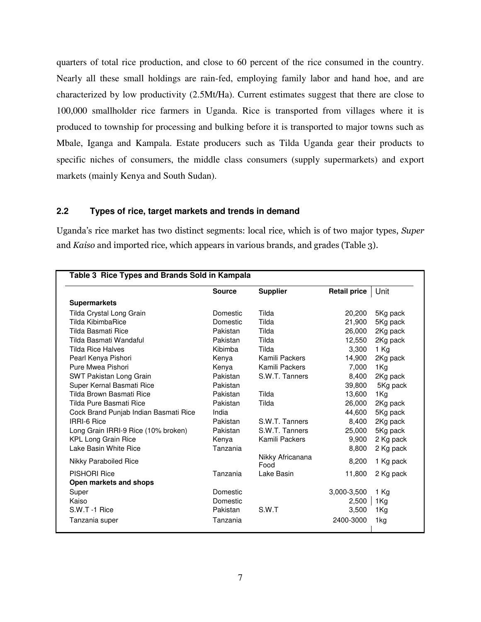quarters of total rice production, and close to 60 percent of the rice consumed in the country. Nearly all these small holdings are rain-fed, employing family labor and hand hoe, and are characterized by low productivity (2.5Mt/Ha). Current estimates suggest that there are close to 100,000 smallholder rice farmers in Uganda. Rice is transported from villages where it is produced to township for processing and bulking before it is transported to major towns such as Mbale, Iganga and Kampala. Estate producers such as Tilda Uganda gear their products to specific niches of consumers, the middle class consumers (supply supermarkets) and export markets (mainly Kenya and South Sudan).

#### <span id="page-8-0"></span>**2.2 Types of rice, target markets and trends in demand**

Uganda's rice market has two distinct segments: local rice, which is of two major types, *Super* and *Kaiso* and imported rice, which appears in various brands, and grades (Table 3).

|                                       | <b>Source</b> | <b>Supplier</b>          | <b>Retail price</b> | Unit      |
|---------------------------------------|---------------|--------------------------|---------------------|-----------|
| <b>Supermarkets</b>                   |               |                          |                     |           |
| Tilda Crystal Long Grain              | Domestic      | Tilda                    | 20,200              | 5Kg pack  |
| Tilda KibimbaRice                     | Domestic      | Tilda                    | 21,900              | 5Kg pack  |
| Tilda Basmati Rice                    | Pakistan      | Tilda                    | 26,000              | 2Kg pack  |
| Tilda Basmati Wandaful                | Pakistan      | Tilda                    | 12,550              | 2Kg pack  |
| Tilda Rice Halves                     | Kibimba       | Tilda                    | 3,300               | 1 Kg      |
| Pearl Kenya Pishori                   | Kenya         | Kamili Packers           | 14,900              | 2Kg pack  |
| Pure Mwea Pishori                     | Kenya         | Kamili Packers           | 7,000               | 1Kg       |
| SWT Pakistan Long Grain               | Pakistan      | S.W.T. Tanners           | 8,400               | 2Kg pack  |
| Super Kernal Basmati Rice             | Pakistan      |                          | 39,800              | 5Kg pack  |
| Tilda Brown Basmati Rice              | Pakistan      | Tilda                    | 13,600              | 1Kg       |
| Tilda Pure Basmati Rice               | Pakistan      | Tilda                    | 26,000              | 2Kg pack  |
| Cock Brand Punjab Indian Basmati Rice | India         |                          | 44,600              | 5Kg pack  |
| <b>IRRI-6 Rice</b>                    | Pakistan      | S.W.T. Tanners           | 8,400               | 2Kg pack  |
| Long Grain IRRI-9 Rice (10% broken)   | Pakistan      | S.W.T. Tanners           | 25,000              | 5Kg pack  |
| <b>KPL Long Grain Rice</b>            | Kenya         | Kamili Packers           | 9,900               | 2 Kg pack |
| Lake Basin White Rice                 | Tanzania      |                          | 8,800               | 2 Kg pack |
| <b>Nikky Paraboiled Rice</b>          |               | Nikky Africanana<br>Food | 8,200               | 1 Kg pack |
| <b>PISHORI Rice</b>                   | Tanzania      | Lake Basin               | 11,800              | 2 Kg pack |
| Open markets and shops                |               |                          |                     |           |
| Super                                 | Domestic      |                          | 3,000-3,500         | 1 Kg      |
| Kaiso                                 | Domestic      |                          | 2,500               | 1Kg       |
| S.W.T -1 Rice                         | Pakistan      | S.W.T                    | 3,500               | 1Kg       |
| Tanzania super                        | Tanzania      |                          | 2400-3000           | 1kg       |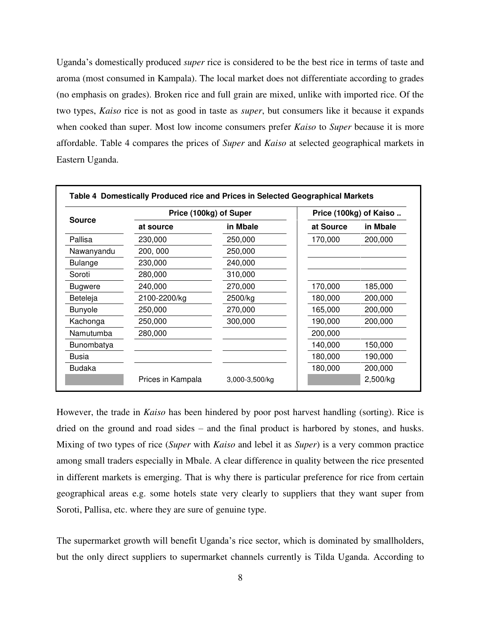Uganda's domestically produced *super* rice is considered to be the best rice in terms of taste and aroma (most consumed in Kampala). The local market does not differentiate according to grades (no emphasis on grades). Broken rice and full grain are mixed, unlike with imported rice. Of the two types, *Kaiso* rice is not as good in taste as *super*, but consumers like it because it expands when cooked than super. Most low income consumers prefer *Kaiso* to *Super* because it is more affordable. Table 4 compares the prices of *Super* and *Kaiso* at selected geographical markets in Eastern Uganda.

|                | Price (100kg) of Super |                | Price (100kg) of Kaiso |          |
|----------------|------------------------|----------------|------------------------|----------|
| <b>Source</b>  | at source              | in Mbale       | at Source              | in Mbale |
| Pallisa        | 230,000                | 250,000        | 170,000                | 200,000  |
| Nawanyandu     | 200, 000               | 250,000        |                        |          |
| <b>Bulange</b> | 230,000                | 240,000        |                        |          |
| Soroti         | 280,000                | 310,000        |                        |          |
| <b>Bugwere</b> | 240,000                | 270,000        | 170,000                | 185,000  |
| Beteleja       | 2100-2200/kg           | 2500/kg        | 180,000                | 200,000  |
| <b>Bunyole</b> | 250,000                | 270,000        | 165,000                | 200,000  |
| Kachonga       | 250,000                | 300,000        | 190,000                | 200,000  |
| Namutumba      | 280,000                |                | 200,000                |          |
| Bunombatya     |                        |                | 140,000                | 150,000  |
| <b>Busia</b>   |                        |                | 180,000                | 190,000  |
| Budaka         |                        |                | 180,000                | 200,000  |
|                | Prices in Kampala      | 3,000-3,500/kg |                        | 2,500/kg |

However, the trade in *Kaiso* has been hindered by poor post harvest handling (sorting). Rice is dried on the ground and road sides – and the final product is harbored by stones, and husks. Mixing of two types of rice (*Super* with *Kaiso* and lebel it as *Super*) is a very common practice among small traders especially in Mbale. A clear difference in quality between the rice presented in different markets is emerging. That is why there is particular preference for rice from certain geographical areas e.g. some hotels state very clearly to suppliers that they want super from Soroti, Pallisa, etc. where they are sure of genuine type.

The supermarket growth will benefit Uganda's rice sector, which is dominated by smallholders, but the only direct suppliers to supermarket channels currently is Tilda Uganda. According to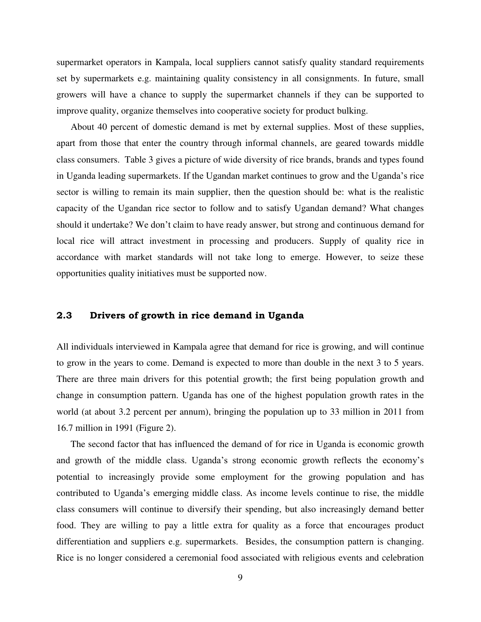supermarket operators in Kampala, local suppliers cannot satisfy quality standard requirements set by supermarkets e.g. maintaining quality consistency in all consignments. In future, small growers will have a chance to supply the supermarket channels if they can be supported to improve quality, organize themselves into cooperative society for product bulking.

About 40 percent of domestic demand is met by external supplies. Most of these supplies, apart from those that enter the country through informal channels, are geared towards middle class consumers. Table 3 gives a picture of wide diversity of rice brands, brands and types found in Uganda leading supermarkets. If the Ugandan market continues to grow and the Uganda's rice sector is willing to remain its main supplier, then the question should be: what is the realistic capacity of the Ugandan rice sector to follow and to satisfy Ugandan demand? What changes should it undertake? We don't claim to have ready answer, but strong and continuous demand for local rice will attract investment in processing and producers. Supply of quality rice in accordance with market standards will not take long to emerge. However, to seize these opportunities quality initiatives must be supported now.

#### <span id="page-10-0"></span>**2.3 Drivers of growth in rice demand in Uganda**

All individuals interviewed in Kampala agree that demand for rice is growing, and will continue to grow in the years to come. Demand is expected to more than double in the next 3 to 5 years. There are three main drivers for this potential growth; the first being population growth and change in consumption pattern. Uganda has one of the highest population growth rates in the world (at about 3.2 percent per annum), bringing the population up to 33 million in 2011 from 16.7 million in 1991 (Figure 2).

The second factor that has influenced the demand of for rice in Uganda is economic growth and growth of the middle class. Uganda's strong economic growth reflects the economy's potential to increasingly provide some employment for the growing population and has contributed to Uganda's emerging middle class. As income levels continue to rise, the middle class consumers will continue to diversify their spending, but also increasingly demand better food. They are willing to pay a little extra for quality as a force that encourages product differentiation and suppliers e.g. supermarkets. Besides, the consumption pattern is changing. Rice is no longer considered a ceremonial food associated with religious events and celebration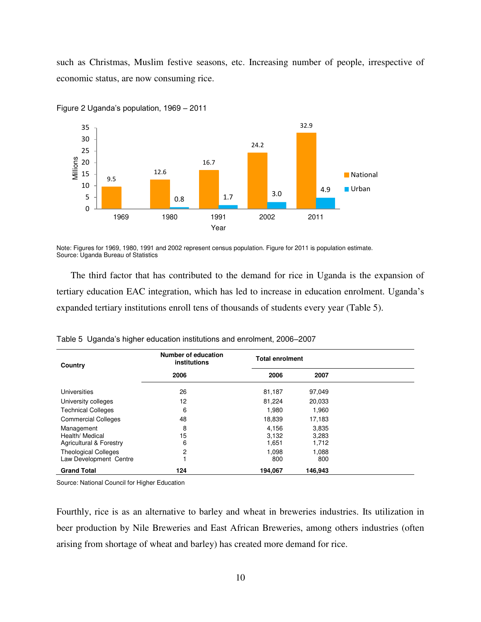such as Christmas, Muslim festive seasons, etc. Increasing number of people, irrespective of economic status, are now consuming rice.



Figure 2 Uganda's population, 1969 – 2011

Note: Figures for 1969, 1980, 1991 and 2002 represent census population. Figure for 2011 is population estimate. Source: Uganda Bureau of Statistics

The third factor that has contributed to the demand for rice in Uganda is the expansion of tertiary education EAC integration, which has led to increase in education enrolment. Uganda's expanded tertiary institutions enroll tens of thousands of students every year (Table 5).

| Country                                                  | Number of education<br>institutions | <b>Total enrolment</b>  |                         |  |
|----------------------------------------------------------|-------------------------------------|-------------------------|-------------------------|--|
|                                                          | 2006                                | 2006                    | 2007                    |  |
| Universities                                             | 26                                  | 81,187                  | 97,049                  |  |
| University colleges                                      | 12                                  | 81,224                  | 20,033                  |  |
| <b>Technical Colleges</b>                                | 6                                   | 1.980                   | 1,960                   |  |
| <b>Commercial Colleges</b>                               | 48                                  | 18,839                  | 17,183                  |  |
| Management<br>Health/ Medical<br>Agricultural & Forestry | 8<br>15<br>6                        | 4.156<br>3.132<br>1,651 | 3,835<br>3,283<br>1,712 |  |
| <b>Theological Colleges</b><br>Law Development Centre    | $\overline{c}$                      | 1.098<br>800            | 1.088<br>800            |  |
| <b>Grand Total</b>                                       | 124                                 | 194.067                 | 146.943                 |  |

Table 5 Uganda's higher education institutions and enrolment, 2006–2007

Source: National Council for Higher Education

Fourthly, rice is as an alternative to barley and wheat in breweries industries. Its utilization in beer production by Nile Breweries and East African Breweries, among others industries (often arising from shortage of wheat and barley) has created more demand for rice.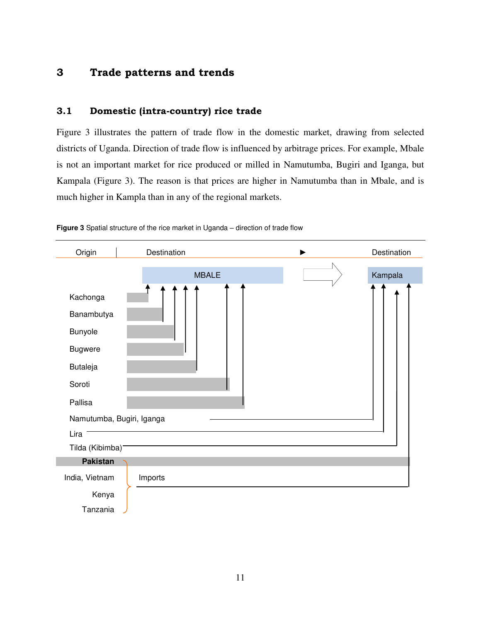### <span id="page-12-0"></span>**3 Trade patterns and trends**

#### <span id="page-12-1"></span>**3.1 Domestic (intra-country) rice trade**

Figure 3 illustrates the pattern of trade flow in the domestic market, drawing from selected districts of Uganda. Direction of trade flow is influenced by arbitrage prices. For example, Mbale is not an important market for rice produced or milled in Namutumba, Bugiri and Iganga, but Kampala (Figure 3). The reason is that prices are higher in Namutumba than in Mbale, and is much higher in Kampla than in any of the regional markets.



**Figure 3** Spatial structure of the rice market in Uganda – direction of trade flow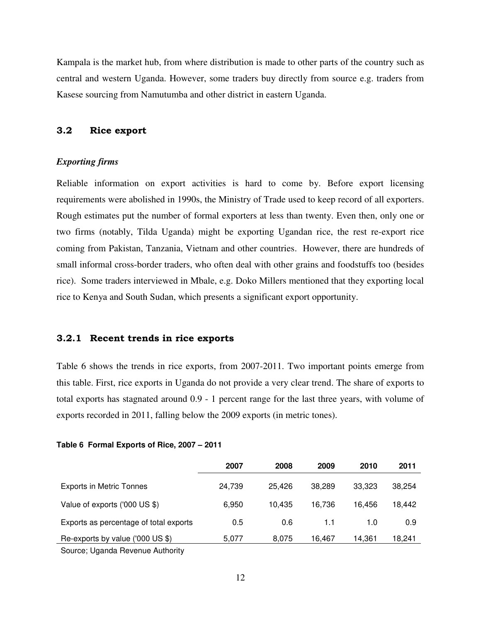Kampala is the market hub, from where distribution is made to other parts of the country such as central and western Uganda. However, some traders buy directly from source e.g. traders from Kasese sourcing from Namutumba and other district in eastern Uganda.

#### <span id="page-13-0"></span>**3.2 Rice export**

#### *Exporting firms*

Reliable information on export activities is hard to come by. Before export licensing requirements were abolished in 1990s, the Ministry of Trade used to keep record of all exporters. Rough estimates put the number of formal exporters at less than twenty. Even then, only one or two firms (notably, Tilda Uganda) might be exporting Ugandan rice, the rest re-export rice coming from Pakistan, Tanzania, Vietnam and other countries. However, there are hundreds of small informal cross-border traders, who often deal with other grains and foodstuffs too (besides rice). Some traders interviewed in Mbale, e.g. Doko Millers mentioned that they exporting local rice to Kenya and South Sudan, which presents a significant export opportunity.

#### <span id="page-13-1"></span>**3.2.1 Recent trends in rice exports**

Table 6 shows the trends in rice exports, from 2007-2011. Two important points emerge from this table. First, rice exports in Uganda do not provide a very clear trend. The share of exports to total exports has stagnated around 0.9 - 1 percent range for the last three years, with volume of exports recorded in 2011, falling below the 2009 exports (in metric tones).

|                                        | 2007   | 2008   | 2009   | 2010   | 2011   |
|----------------------------------------|--------|--------|--------|--------|--------|
| <b>Exports in Metric Tonnes</b>        | 24,739 | 25.426 | 38.289 | 33,323 | 38,254 |
| Value of exports ('000 US \$)          | 6,950  | 10.435 | 16.736 | 16.456 | 18,442 |
| Exports as percentage of total exports | 0.5    | 0.6    | 1.1    | 1.0    | 0.9    |
| Re-exports by value ('000 US \$)       | 5,077  | 8,075  | 16,467 | 14,361 | 18,241 |
| Carpace Hagade Devenue Authority       |        |        |        |        |        |

#### **Table 6 Formal Exports of Rice, 2007 – 2011**

Source; Uganda Revenue Authority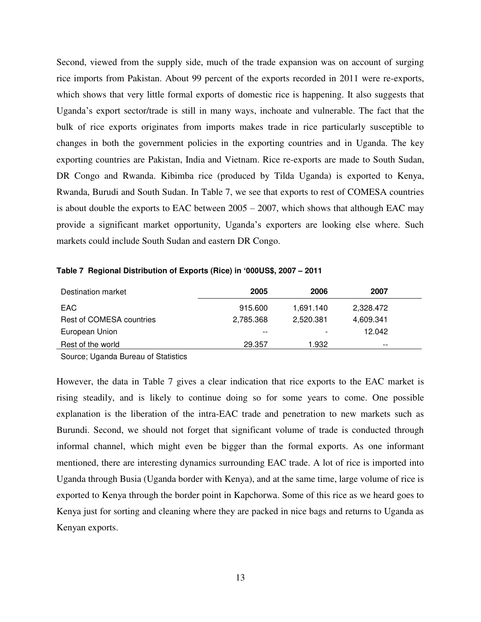Second, viewed from the supply side, much of the trade expansion was on account of surging rice imports from Pakistan. About 99 percent of the exports recorded in 2011 were re-exports, which shows that very little formal exports of domestic rice is happening. It also suggests that Uganda's export sector/trade is still in many ways, inchoate and vulnerable. The fact that the bulk of rice exports originates from imports makes trade in rice particularly susceptible to changes in both the government policies in the exporting countries and in Uganda. The key exporting countries are Pakistan, India and Vietnam. Rice re-exports are made to South Sudan, DR Congo and Rwanda. Kibimba rice (produced by Tilda Uganda) is exported to Kenya, Rwanda, Burudi and South Sudan. In Table 7, we see that exports to rest of COMESA countries is about double the exports to EAC between  $2005 - 2007$ , which shows that although EAC may provide a significant market opportunity, Uganda's exporters are looking else where. Such markets could include South Sudan and eastern DR Congo.

| Destination market       | 2005      | 2006      | 2007      |
|--------------------------|-----------|-----------|-----------|
| EAC.                     | 915.600   | 1,691.140 | 2,328.472 |
| Rest of COMESA countries | 2.785.368 | 2.520.381 | 4,609.341 |
| European Union           | $ -$      |           | 12.042    |
| Rest of the world        | 29.357    | 1.932     | $- -$     |

**Table 7 Regional Distribution of Exports (Rice) in '000US\$, 2007 – 2011** 

Source; Uganda Bureau of Statistics

However, the data in Table 7 gives a clear indication that rice exports to the EAC market is rising steadily, and is likely to continue doing so for some years to come. One possible explanation is the liberation of the intra-EAC trade and penetration to new markets such as Burundi. Second, we should not forget that significant volume of trade is conducted through informal channel, which might even be bigger than the formal exports. As one informant mentioned, there are interesting dynamics surrounding EAC trade. A lot of rice is imported into Uganda through Busia (Uganda border with Kenya), and at the same time, large volume of rice is exported to Kenya through the border point in Kapchorwa. Some of this rice as we heard goes to Kenya just for sorting and cleaning where they are packed in nice bags and returns to Uganda as Kenyan exports.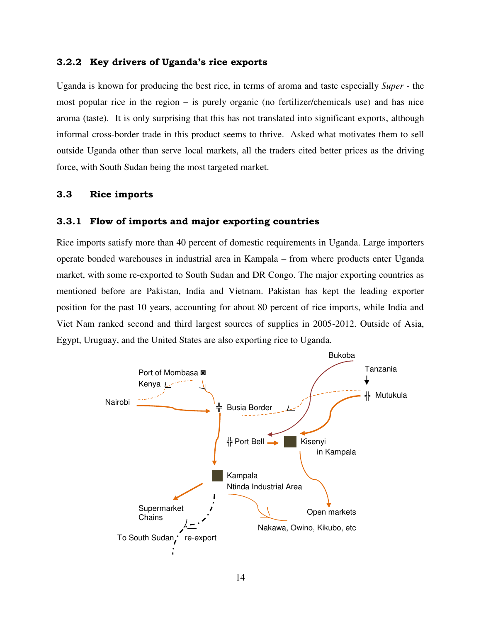#### <span id="page-15-0"></span>**3.2.2 Key drivers of Uganda's rice exports**

Uganda is known for producing the best rice, in terms of aroma and taste especially *Super -* the most popular rice in the region – is purely organic (no fertilizer/chemicals use) and has nice aroma (taste). It is only surprising that this has not translated into significant exports, although informal cross-border trade in this product seems to thrive. Asked what motivates them to sell outside Uganda other than serve local markets, all the traders cited better prices as the driving force, with South Sudan being the most targeted market.

#### <span id="page-15-1"></span>**3.3 Rice imports**

#### **3.3.1 Flow of imports and major exporting countries**

Rice imports satisfy more than 40 percent of domestic requirements in Uganda. Large importers operate bonded warehouses in industrial area in Kampala – from where products enter Uganda market, with some re-exported to South Sudan and DR Congo. The major exporting countries as mentioned before are Pakistan, India and Vietnam. Pakistan has kept the leading exporter position for the past 10 years, accounting for about 80 percent of rice imports, while India and Viet Nam ranked second and third largest sources of supplies in 2005-2012. Outside of Asia, Egypt, Uruguay, and the United States are also exporting rice to Uganda.

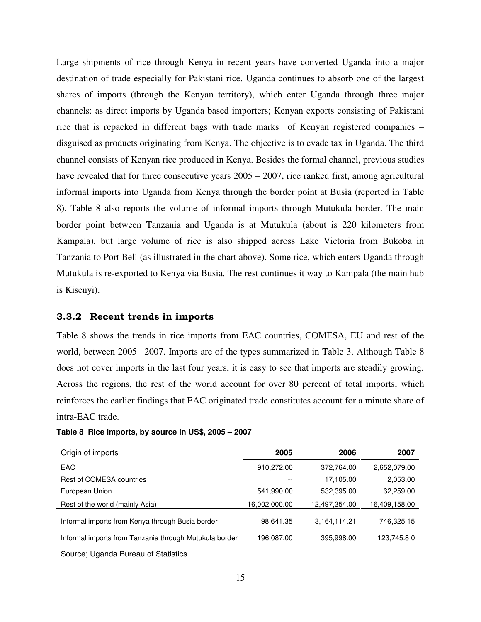Large shipments of rice through Kenya in recent years have converted Uganda into a major destination of trade especially for Pakistani rice. Uganda continues to absorb one of the largest shares of imports (through the Kenyan territory), which enter Uganda through three major channels: as direct imports by Uganda based importers; Kenyan exports consisting of Pakistani rice that is repacked in different bags with trade marks of Kenyan registered companies – disguised as products originating from Kenya. The objective is to evade tax in Uganda. The third channel consists of Kenyan rice produced in Kenya. Besides the formal channel, previous studies have revealed that for three consecutive years  $2005 - 2007$ , rice ranked first, among agricultural informal imports into Uganda from Kenya through the border point at Busia (reported in Table 8). Table 8 also reports the volume of informal imports through Mutukula border. The main border point between Tanzania and Uganda is at Mutukula (about is 220 kilometers from Kampala), but large volume of rice is also shipped across Lake Victoria from Bukoba in Tanzania to Port Bell (as illustrated in the chart above). Some rice, which enters Uganda through Mutukula is re-exported to Kenya via Busia. The rest continues it way to Kampala (the main hub is Kisenyi).

#### <span id="page-16-0"></span>**3.3.2 Recent trends in imports**

Table 8 shows the trends in rice imports from EAC countries, COMESA, EU and rest of the world, between 2005– 2007. Imports are of the types summarized in Table 3. Although Table 8 does not cover imports in the last four years, it is easy to see that imports are steadily growing. Across the regions, the rest of the world account for over 80 percent of total imports, which reinforces the earlier findings that EAC originated trade constitutes account for a minute share of intra-EAC trade.

| Origin of imports                                      | 2005          | 2006          | 2007          |
|--------------------------------------------------------|---------------|---------------|---------------|
| <b>EAC</b>                                             | 910,272.00    | 372,764.00    | 2,652,079.00  |
| Rest of COMESA countries                               | --            | 17,105.00     | 2,053.00      |
| European Union                                         | 541,990.00    | 532,395.00    | 62,259.00     |
| Rest of the world (mainly Asia)                        | 16,002,000.00 | 12,497,354.00 | 16,409,158.00 |
| Informal imports from Kenya through Busia border       | 98,641.35     | 3,164,114.21  | 746,325.15    |
| Informal imports from Tanzania through Mutukula border | 196.087.00    | 395,998.00    | 123,745.80    |

#### **Table 8 Rice imports, by source in US\$, 2005 – 2007**

Source; Uganda Bureau of Statistics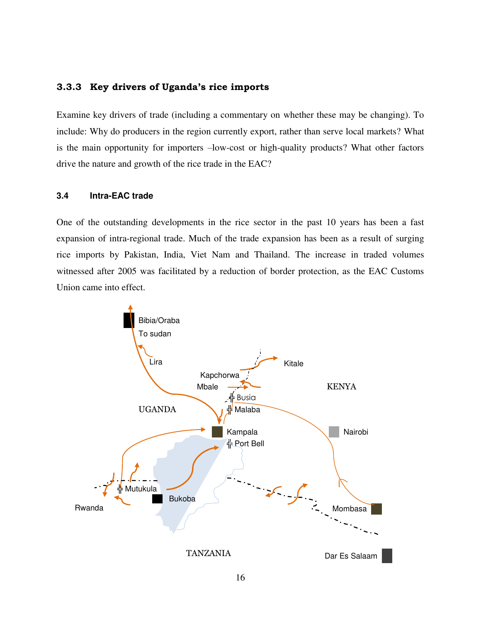#### <span id="page-17-0"></span>**3.3.3 Key drivers of Uganda's rice imports**

Examine key drivers of trade (including a commentary on whether these may be changing). To include: Why do producers in the region currently export, rather than serve local markets? What is the main opportunity for importers –low-cost or high-quality products? What other factors drive the nature and growth of the rice trade in the EAC?

#### <span id="page-17-1"></span>**3.4 Intra-EAC trade**

One of the outstanding developments in the rice sector in the past 10 years has been a fast expansion of intra-regional trade. Much of the trade expansion has been as a result of surging rice imports by Pakistan, India, Viet Nam and Thailand. The increase in traded volumes witnessed after 2005 was facilitated by a reduction of border protection, as the EAC Customs Union came into effect.

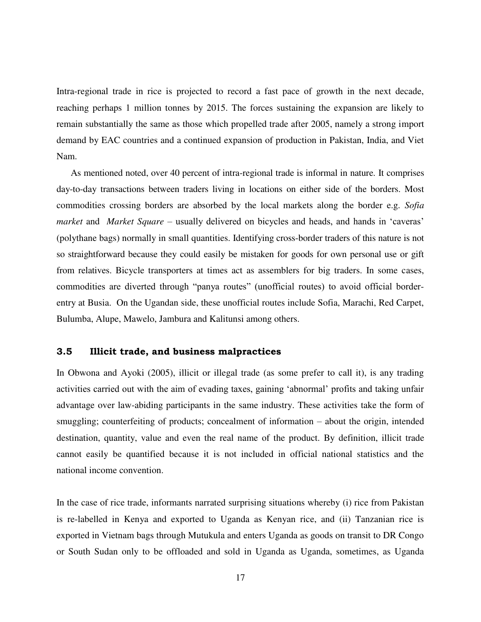Intra-regional trade in rice is projected to record a fast pace of growth in the next decade, reaching perhaps 1 million tonnes by 2015. The forces sustaining the expansion are likely to remain substantially the same as those which propelled trade after 2005, namely a strong import demand by EAC countries and a continued expansion of production in Pakistan, India, and Viet Nam.

As mentioned noted, over 40 percent of intra-regional trade is informal in nature. It comprises day-to-day transactions between traders living in locations on either side of the borders. Most commodities crossing borders are absorbed by the local markets along the border e.g. *Sofia market* and *Market Square* – usually delivered on bicycles and heads, and hands in 'caveras' (polythane bags) normally in small quantities. Identifying cross-border traders of this nature is not so straightforward because they could easily be mistaken for goods for own personal use or gift from relatives. Bicycle transporters at times act as assemblers for big traders. In some cases, commodities are diverted through "panya routes" (unofficial routes) to avoid official borderentry at Busia. On the Ugandan side, these unofficial routes include Sofia, Marachi, Red Carpet, Bulumba, Alupe, Mawelo, Jambura and Kalitunsi among others.

#### <span id="page-18-0"></span>**3.5 Illicit trade, and business malpractices**

In Obwona and Ayoki (2005), illicit or illegal trade (as some prefer to call it), is any trading activities carried out with the aim of evading taxes, gaining 'abnormal' profits and taking unfair advantage over law-abiding participants in the same industry. These activities take the form of smuggling; counterfeiting of products; concealment of information – about the origin, intended destination, quantity, value and even the real name of the product. By definition, illicit trade cannot easily be quantified because it is not included in official national statistics and the national income convention.

In the case of rice trade, informants narrated surprising situations whereby (i) rice from Pakistan is re-labelled in Kenya and exported to Uganda as Kenyan rice, and (ii) Tanzanian rice is exported in Vietnam bags through Mutukula and enters Uganda as goods on transit to DR Congo or South Sudan only to be offloaded and sold in Uganda as Uganda, sometimes, as Uganda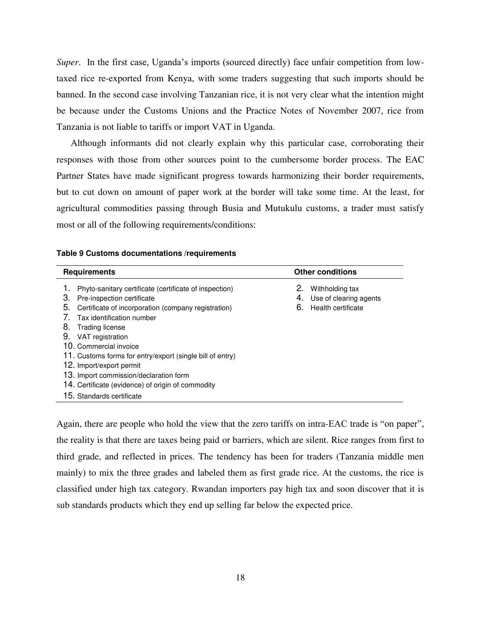*Super*. In the first case, Uganda's imports (sourced directly) face unfair competition from lowtaxed rice re-exported from Kenya, with some traders suggesting that such imports should be banned. In the second case involving Tanzanian rice, it is not very clear what the intention might be because under the Customs Unions and the Practice Notes of November 2007, rice from Tanzania is not liable to tariffs or import VAT in Uganda.

Although informants did not clearly explain why this particular case, corroborating their responses with those from other sources point to the cumbersome border process. The EAC Partner States have made significant progress towards harmonizing their border requirements, but to cut down on amount of paper work at the border will take some time. At the least, for agricultural commodities passing through Busia and Mutukulu customs, a trader must satisfy most or all of the following requirements/conditions:

| <b>Requirements</b>                                                                                                                                                                                                                                                                                                                                                                                                                                       | <b>Other conditions</b>                                                           |
|-----------------------------------------------------------------------------------------------------------------------------------------------------------------------------------------------------------------------------------------------------------------------------------------------------------------------------------------------------------------------------------------------------------------------------------------------------------|-----------------------------------------------------------------------------------|
| Phyto-sanitary certificate (certificate of inspection)<br>З.<br>Pre-inspection certificate<br>5.<br>Certificate of incorporation (company registration)<br>Tax identification number<br>8.<br>Trading license<br>9.<br>VAT registration<br>10. Commercial invoice<br>11. Customs forms for entry/export (single bill of entry)<br>12. Import/export permit<br>13. Import commission/declaration form<br>14. Certificate (evidence) of origin of commodity | 2.<br>Withholding tax<br>Use of clearing agents<br>4.<br>6.<br>Health certificate |
| 15. Standards certificate                                                                                                                                                                                                                                                                                                                                                                                                                                 |                                                                                   |

|  | Table 9 Customs documentations /requirements |  |
|--|----------------------------------------------|--|
|--|----------------------------------------------|--|

Again, there are people who hold the view that the zero tariffs on intra-EAC trade is "on paper", the reality is that there are taxes being paid or barriers, which are silent. Rice ranges from first to third grade, and reflected in prices. The tendency has been for traders (Tanzania middle men mainly) to mix the three grades and labeled them as first grade rice. At the customs, the rice is classified under high tax category. Rwandan importers pay high tax and soon discover that it is sub standards products which they end up selling far below the expected price.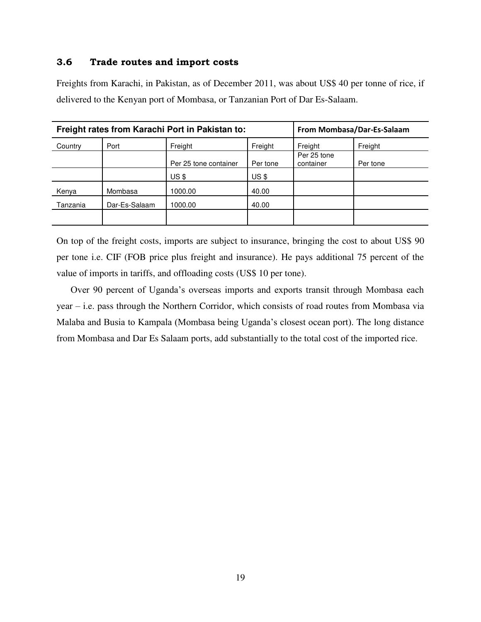#### <span id="page-20-0"></span>**3.6 Trade routes and import costs**

Freights from Karachi, in Pakistan, as of December 2011, was about US\$ 40 per tonne of rice, if delivered to the Kenyan port of Mombasa, or Tanzanian Port of Dar Es-Salaam.

| Freight rates from Karachi Port in Pakistan to: |               |                       |          | From Mombasa/Dar-Es-Salaam |          |
|-------------------------------------------------|---------------|-----------------------|----------|----------------------------|----------|
| Country                                         | Port          | Freight               | Freight  | Freight                    | Freight  |
|                                                 |               | Per 25 tone container | Per tone | Per 25 tone<br>container   | Per tone |
|                                                 |               | $US$ \$               | $US$ \$  |                            |          |
| Kenya                                           | Mombasa       | 1000.00               | 40.00    |                            |          |
| Tanzania                                        | Dar-Es-Salaam | 1000.00               | 40.00    |                            |          |
|                                                 |               |                       |          |                            |          |

On top of the freight costs, imports are subject to insurance, bringing the cost to about US\$ 90 per tone i.e. CIF (FOB price plus freight and insurance). He pays additional 75 percent of the value of imports in tariffs, and offloading costs (US\$ 10 per tone).

Over 90 percent of Uganda's overseas imports and exports transit through Mombasa each year – i.e. pass through the Northern Corridor, which consists of road routes from Mombasa via Malaba and Busia to Kampala (Mombasa being Uganda's closest ocean port). The long distance from Mombasa and Dar Es Salaam ports, add substantially to the total cost of the imported rice.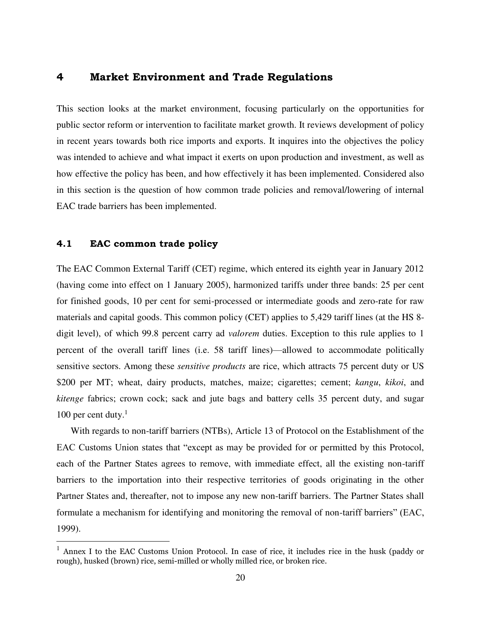#### <span id="page-21-0"></span>**4 Market Environment and Trade Regulations**

This section looks at the market environment, focusing particularly on the opportunities for public sector reform or intervention to facilitate market growth. It reviews development of policy in recent years towards both rice imports and exports. It inquires into the objectives the policy was intended to achieve and what impact it exerts on upon production and investment, as well as how effective the policy has been, and how effectively it has been implemented. Considered also in this section is the question of how common trade policies and removal/lowering of internal EAC trade barriers has been implemented.

#### <span id="page-21-1"></span>**4.1 EAC common trade policy**

 $\overline{a}$ 

The EAC Common External Tariff (CET) regime, which entered its eighth year in January 2012 (having come into effect on 1 January 2005), harmonized tariffs under three bands: 25 per cent for finished goods, 10 per cent for semi-processed or intermediate goods and zero-rate for raw materials and capital goods. This common policy (CET) applies to 5,429 tariff lines (at the HS 8 digit level), of which 99.8 percent carry ad *valorem* duties. Exception to this rule applies to 1 percent of the overall tariff lines (i.e. 58 tariff lines)—allowed to accommodate politically sensitive sectors. Among these *sensitive products* are rice, which attracts 75 percent duty or US \$200 per MT; wheat, dairy products, matches, maize; cigarettes; cement; *kangu*, *kikoi*, and *kitenge* fabrics; crown cock; sack and jute bags and battery cells 35 percent duty, and sugar 100 per cent duty. $<sup>1</sup>$ </sup>

With regards to non-tariff barriers (NTBs), Article 13 of Protocol on the Establishment of the EAC Customs Union states that "except as may be provided for or permitted by this Protocol, each of the Partner States agrees to remove, with immediate effect, all the existing non-tariff barriers to the importation into their respective territories of goods originating in the other Partner States and, thereafter, not to impose any new non-tariff barriers. The Partner States shall formulate a mechanism for identifying and monitoring the removal of non-tariff barriers" (EAC, 1999).

 $<sup>1</sup>$  Annex I to the EAC Customs Union Protocol. In case of rice, it includes rice in the husk (paddy or</sup> rough), husked (brown) rice, semi-milled or wholly milled rice, or broken rice.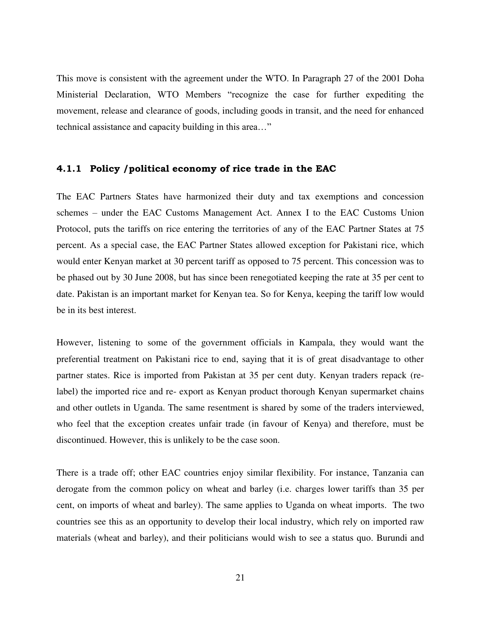This move is consistent with the agreement under the WTO. In Paragraph 27 of the 2001 Doha Ministerial Declaration, WTO Members "recognize the case for further expediting the movement, release and clearance of goods, including goods in transit, and the need for enhanced technical assistance and capacity building in this area…"

#### <span id="page-22-0"></span>**4.1.1 Policy /political economy of rice trade in the EAC**

The EAC Partners States have harmonized their duty and tax exemptions and concession schemes – under the EAC Customs Management Act. Annex I to the EAC Customs Union Protocol, puts the tariffs on rice entering the territories of any of the EAC Partner States at 75 percent. As a special case, the EAC Partner States allowed exception for Pakistani rice, which would enter Kenyan market at 30 percent tariff as opposed to 75 percent. This concession was to be phased out by 30 June 2008, but has since been renegotiated keeping the rate at 35 per cent to date. Pakistan is an important market for Kenyan tea. So for Kenya, keeping the tariff low would be in its best interest.

However, listening to some of the government officials in Kampala, they would want the preferential treatment on Pakistani rice to end, saying that it is of great disadvantage to other partner states. Rice is imported from Pakistan at 35 per cent duty. Kenyan traders repack (relabel) the imported rice and re- export as Kenyan product thorough Kenyan supermarket chains and other outlets in Uganda. The same resentment is shared by some of the traders interviewed, who feel that the exception creates unfair trade (in favour of Kenya) and therefore, must be discontinued. However, this is unlikely to be the case soon.

There is a trade off; other EAC countries enjoy similar flexibility. For instance, Tanzania can derogate from the common policy on wheat and barley (i.e. charges lower tariffs than 35 per cent, on imports of wheat and barley). The same applies to Uganda on wheat imports. The two countries see this as an opportunity to develop their local industry, which rely on imported raw materials (wheat and barley), and their politicians would wish to see a status quo. Burundi and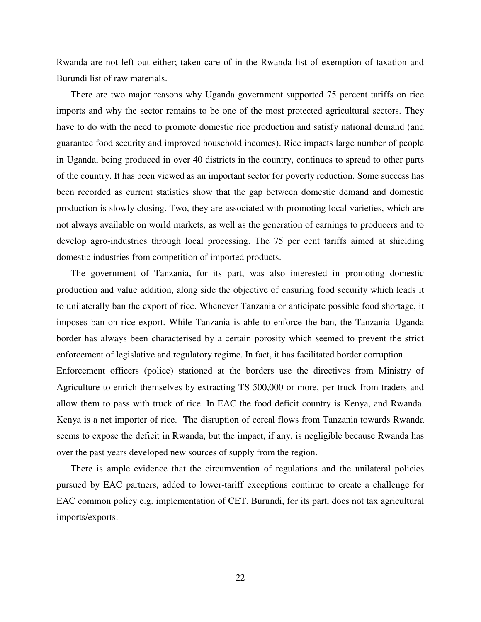Rwanda are not left out either; taken care of in the Rwanda list of exemption of taxation and Burundi list of raw materials.

There are two major reasons why Uganda government supported 75 percent tariffs on rice imports and why the sector remains to be one of the most protected agricultural sectors. They have to do with the need to promote domestic rice production and satisfy national demand (and guarantee food security and improved household incomes). Rice impacts large number of people in Uganda, being produced in over 40 districts in the country, continues to spread to other parts of the country. It has been viewed as an important sector for poverty reduction. Some success has been recorded as current statistics show that the gap between domestic demand and domestic production is slowly closing. Two, they are associated with promoting local varieties, which are not always available on world markets, as well as the generation of earnings to producers and to develop agro-industries through local processing. The 75 per cent tariffs aimed at shielding domestic industries from competition of imported products.

The government of Tanzania, for its part, was also interested in promoting domestic production and value addition, along side the objective of ensuring food security which leads it to unilaterally ban the export of rice. Whenever Tanzania or anticipate possible food shortage, it imposes ban on rice export. While Tanzania is able to enforce the ban, the Tanzania–Uganda border has always been characterised by a certain porosity which seemed to prevent the strict enforcement of legislative and regulatory regime. In fact, it has facilitated border corruption.

Enforcement officers (police) stationed at the borders use the directives from Ministry of Agriculture to enrich themselves by extracting TS 500,000 or more, per truck from traders and allow them to pass with truck of rice. In EAC the food deficit country is Kenya, and Rwanda. Kenya is a net importer of rice. The disruption of cereal flows from Tanzania towards Rwanda seems to expose the deficit in Rwanda, but the impact, if any, is negligible because Rwanda has over the past years developed new sources of supply from the region.

There is ample evidence that the circumvention of regulations and the unilateral policies pursued by EAC partners, added to lower-tariff exceptions continue to create a challenge for EAC common policy e.g. implementation of CET. Burundi, for its part, does not tax agricultural imports/exports.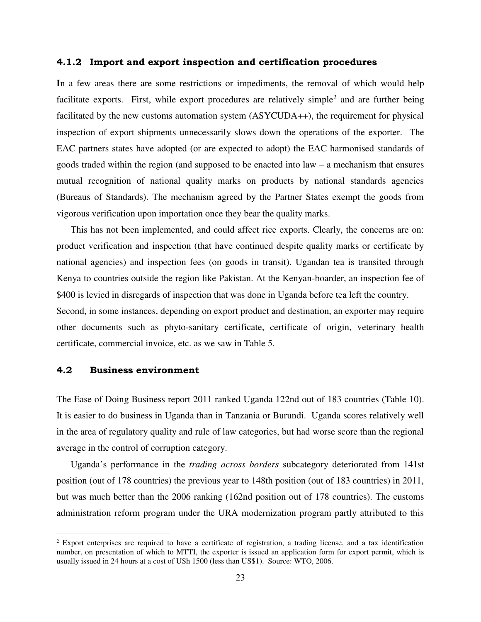#### <span id="page-24-0"></span>**4.1.2 Import and export inspection and certification procedures**

**I**n a few areas there are some restrictions or impediments, the removal of which would help facilitate exports. First, while export procedures are relatively simple<sup>2</sup> and are further being facilitated by the new customs automation system (ASYCUDA++), the requirement for physical inspection of export shipments unnecessarily slows down the operations of the exporter. The EAC partners states have adopted (or are expected to adopt) the EAC harmonised standards of goods traded within the region (and supposed to be enacted into law – a mechanism that ensures mutual recognition of national quality marks on products by national standards agencies (Bureaus of Standards). The mechanism agreed by the Partner States exempt the goods from vigorous verification upon importation once they bear the quality marks.

This has not been implemented, and could affect rice exports. Clearly, the concerns are on: product verification and inspection (that have continued despite quality marks or certificate by national agencies) and inspection fees (on goods in transit). Ugandan tea is transited through Kenya to countries outside the region like Pakistan. At the Kenyan-boarder, an inspection fee of \$400 is levied in disregards of inspection that was done in Uganda before tea left the country. Second, in some instances, depending on export product and destination, an exporter may require other documents such as phyto-sanitary certificate, certificate of origin, veterinary health certificate, commercial invoice, etc. as we saw in Table 5.

#### <span id="page-24-1"></span>**4.2 Business environment**

 $\overline{a}$ 

The Ease of Doing Business report 2011 ranked Uganda 122nd out of 183 countries (Table 10). It is easier to do business in Uganda than in Tanzania or Burundi. Uganda scores relatively well in the area of regulatory quality and rule of law categories, but had worse score than the regional average in the control of corruption category.

Uganda's performance in the *trading across borders* subcategory deteriorated from 141st position (out of 178 countries) the previous year to 148th position (out of 183 countries) in 2011, but was much better than the 2006 ranking (162nd position out of 178 countries). The customs administration reform program under the URA modernization program partly attributed to this

<sup>&</sup>lt;sup>2</sup> Export enterprises are required to have a certificate of registration, a trading license, and a tax identification number, on presentation of which to MTTI, the exporter is issued an application form for export permit, which is usually issued in 24 hours at a cost of USh 1500 (less than US\$1). Source: WTO, 2006.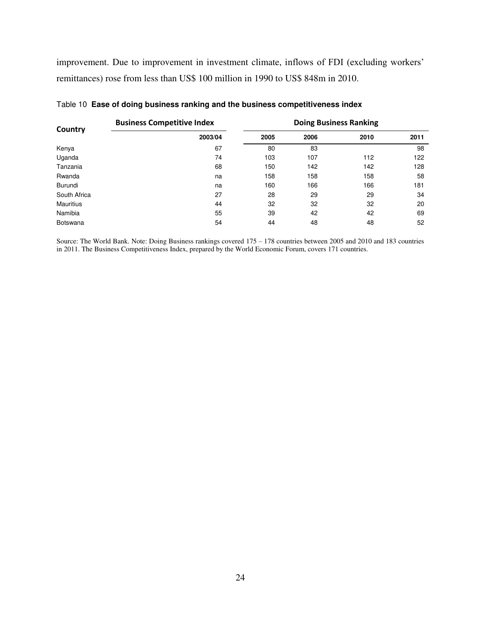improvement. Due to improvement in investment climate, inflows of FDI (excluding workers' remittances) rose from less than US\$ 100 million in 1990 to US\$ 848m in 2010.

|                  | <b>Business Competitive Index</b> | <b>Doing Business Ranking</b> |      |      |      |
|------------------|-----------------------------------|-------------------------------|------|------|------|
| Country          | 2003/04                           | 2005                          | 2006 | 2010 | 2011 |
| Kenya            | 67                                | 80                            | 83   |      | 98   |
| Uganda           | 74                                | 103                           | 107  | 112  | 122  |
| Tanzania         | 68                                | 150                           | 142  | 142  | 128  |
| Rwanda           | na                                | 158                           | 158  | 158  | 58   |
| Burundi          | na                                | 160                           | 166  | 166  | 181  |
| South Africa     | 27                                | 28                            | 29   | 29   | 34   |
| <b>Mauritius</b> | 44                                | 32                            | 32   | 32   | 20   |
| Namibia          | 55                                | 39                            | 42   | 42   | 69   |
| <b>Botswana</b>  | 54                                | 44                            | 48   | 48   | 52   |

Source: The World Bank. Note: Doing Business rankings covered 175 – 178 countries between 2005 and 2010 and 183 countries in 2011. The Business Competitiveness Index, prepared by the World Economic Forum, covers 171 countries.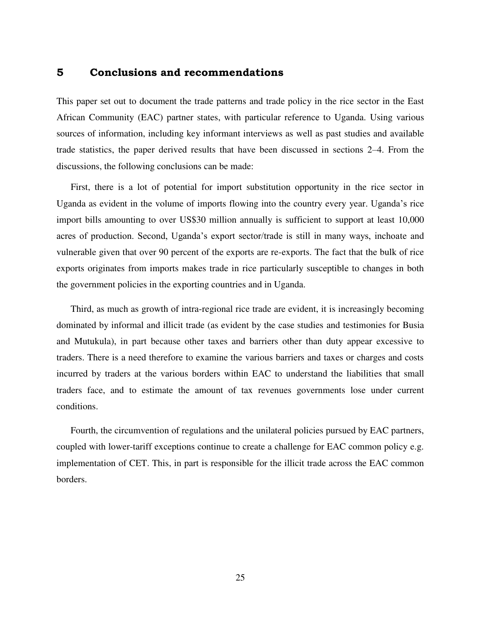#### **5 Conclusions and recommendations**

This paper set out to document the trade patterns and trade policy in the rice sector in the East African Community (EAC) partner states, with particular reference to Uganda. Using various sources of information, including key informant interviews as well as past studies and available trade statistics, the paper derived results that have been discussed in sections 2–4. From the discussions, the following conclusions can be made:

First, there is a lot of potential for import substitution opportunity in the rice sector in Uganda as evident in the volume of imports flowing into the country every year. Uganda's rice import bills amounting to over US\$30 million annually is sufficient to support at least 10,000 acres of production. Second, Uganda's export sector/trade is still in many ways, inchoate and vulnerable given that over 90 percent of the exports are re-exports. The fact that the bulk of rice exports originates from imports makes trade in rice particularly susceptible to changes in both the government policies in the exporting countries and in Uganda.

Third, as much as growth of intra-regional rice trade are evident, it is increasingly becoming dominated by informal and illicit trade (as evident by the case studies and testimonies for Busia and Mutukula), in part because other taxes and barriers other than duty appear excessive to traders. There is a need therefore to examine the various barriers and taxes or charges and costs incurred by traders at the various borders within EAC to understand the liabilities that small traders face, and to estimate the amount of tax revenues governments lose under current conditions.

Fourth, the circumvention of regulations and the unilateral policies pursued by EAC partners, coupled with lower-tariff exceptions continue to create a challenge for EAC common policy e.g. implementation of CET. This, in part is responsible for the illicit trade across the EAC common borders.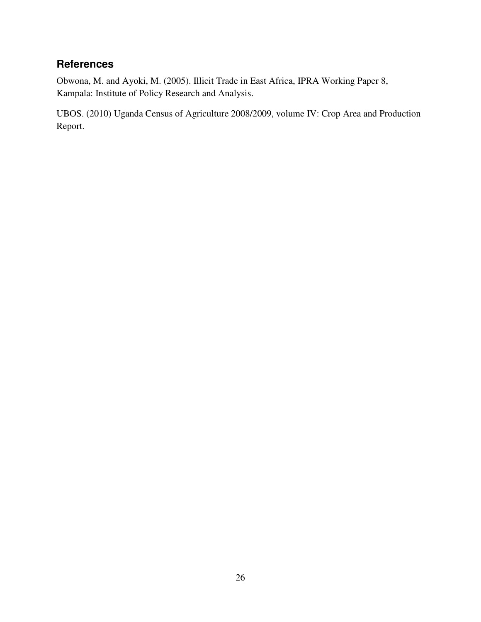## **References**

Obwona, M. and Ayoki, M. (2005). Illicit Trade in East Africa, IPRA Working Paper 8, Kampala: Institute of Policy Research and Analysis.

UBOS. (2010) Uganda Census of Agriculture 2008/2009, volume IV: Crop Area and Production Report.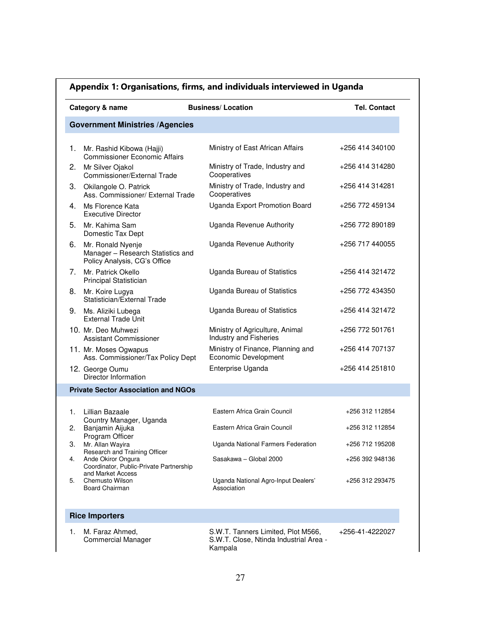|    | Category & name                                                                        | <b>Business/Location</b>                                                                | <b>Tel. Contact</b> |
|----|----------------------------------------------------------------------------------------|-----------------------------------------------------------------------------------------|---------------------|
|    | <b>Government Ministries /Agencies</b>                                                 |                                                                                         |                     |
| 1. | Mr. Rashid Kibowa (Hajji)<br><b>Commissioner Economic Affairs</b>                      | Ministry of East African Affairs                                                        | +256 414 340100     |
| 2. | Mr Silver Ojakol<br>Commissioner/External Trade                                        | Ministry of Trade, Industry and<br>Cooperatives                                         | +256 414 314280     |
|    | 3. Okilangole O. Patrick<br>Ass. Commissioner/ External Trade                          | Ministry of Trade, Industry and<br>Cooperatives                                         | +256 414 314281     |
|    | 4. Ms Florence Kata<br><b>Executive Director</b>                                       | Uganda Export Promotion Board                                                           | +256 772 459134     |
| 5. | Mr. Kahima Sam<br>Domestic Tax Dept                                                    | Uganda Revenue Authority                                                                | +256 772 890189     |
| 6. | Mr. Ronald Nyenje<br>Manager - Research Statistics and<br>Policy Analysis, CG's Office | <b>Uganda Revenue Authority</b>                                                         | +256 717 440055     |
| 7. | Mr. Patrick Okello<br>Principal Statistician                                           | Uganda Bureau of Statistics                                                             | +256 414 321472     |
|    | 8. Mr. Koire Lugya<br>Statistician/External Trade                                      | Uganda Bureau of Statistics                                                             | +256 772 434350     |
|    | 9. Ms. Aliziki Lubega<br><b>External Trade Unit</b>                                    | Uganda Bureau of Statistics                                                             | +256 414 321472     |
|    | 10. Mr. Deo Muhwezi<br><b>Assistant Commissioner</b>                                   | Ministry of Agriculture, Animal<br>Industry and Fisheries                               | +256 772 501761     |
|    | 11. Mr. Moses Ogwapus<br>Ass. Commissioner/Tax Policy Dept                             | Ministry of Finance, Planning and<br>Economic Development                               | +256 414 707137     |
|    | 12. George Oumu<br>Director Information                                                | Enterprise Uganda                                                                       | +256 414 251810     |
|    | <b>Private Sector Association and NGOs</b>                                             |                                                                                         |                     |
| 1. | Lillian Bazaale                                                                        | Eastern Africa Grain Council                                                            | +256 312 112854     |
| 2. | Country Manager, Uganda<br>Banjamin Aijuka                                             | Eastern Africa Grain Council                                                            | +256 312 112854     |
| 3. | Program Officer<br>Mr. Allan Wayira<br>Research and Training Officer                   | Uganda National Farmers Federation                                                      | +256 712 195208     |
| 4. | Ande Okiror Ongura<br>Coordinator, Public-Private Partnership                          | Sasakawa - Global 2000                                                                  | +256 392 948136     |
| 5. | and Market Access<br>Chemusto Wilson<br>Board Chairman                                 | Uganda National Agro-Input Dealers'<br>Association                                      | +256 312 293475     |
|    | <b>Rice Importers</b>                                                                  |                                                                                         |                     |
| 1. | M. Faraz Ahmed,<br><b>Commercial Manager</b>                                           | S.W.T. Tanners Limited, Plot M566,<br>S.W.T. Close, Ntinda Industrial Area -<br>Kampala | +256-41-4222027     |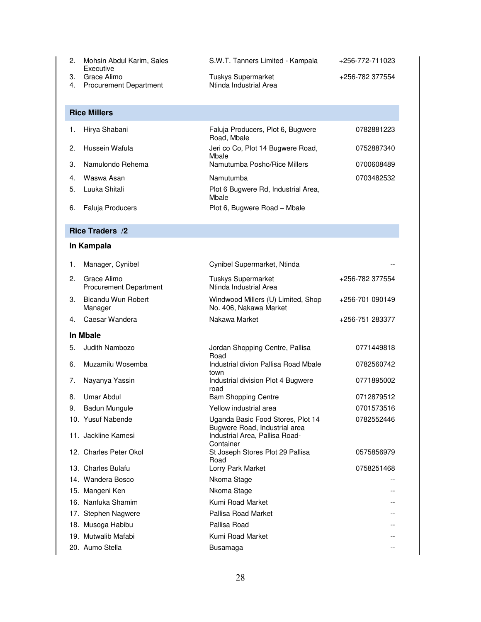| Mohsin Abdul Karim, Sales<br>Executive      | S.W.T. Tanners Limited - Kampala             | +256-772-711023 |
|---------------------------------------------|----------------------------------------------|-----------------|
| 3. Grace Alimo<br>4. Procurement Department | Tuskys Supermarket<br>Ntinda Industrial Area | +256-782 377554 |

**Rice Millers** 

| $\mathbf{1}$ . | Hirya Shabani           | Faluja Producers, Plot 6, Bugwere<br>Road, Mbale | 0782881223 |
|----------------|-------------------------|--------------------------------------------------|------------|
| $2^{\circ}$    | Hussein Wafula          | Jeri co Co, Plot 14 Bugwere Road,<br>Mbale       | 0752887340 |
| $\mathcal{R}$  | Namulondo Rehema        | Namutumba Posho/Rice Millers                     | 0700608489 |
| 4.             | Waswa Asan              | Namutumba                                        | 0703482532 |
| 5.             | Luuka Shitali           | Plot 6 Bugwere Rd, Industrial Area,<br>Mbale     |            |
| 6.             | <b>Faluja Producers</b> | Plot 6, Bugwere Road - Mbale                     |            |

#### **Rice Traders /2**

#### **In Kampala**

| 1. | Manager, Cynibel                             | Cynibel Supermarket, Ntinda                                        |                 |
|----|----------------------------------------------|--------------------------------------------------------------------|-----------------|
| 2. | Grace Alimo<br><b>Procurement Department</b> | <b>Tuskys Supermarket</b><br>Ntinda Industrial Area                | +256-782 377554 |
| 3. | Bicandu Wun Robert<br>Manager                | Windwood Millers (U) Limited, Shop<br>No. 406, Nakawa Market       | +256-701 090149 |
| 4. | Caesar Wandera                               | Nakawa Market                                                      | +256-751 283377 |
|    | In Mbale                                     |                                                                    |                 |
| 5. | Judith Nambozo                               | Jordan Shopping Centre, Pallisa<br>Road                            | 0771449818      |
| 6. | Muzamilu Wosemba                             | Industrial divion Pallisa Road Mbale<br>town                       | 0782560742      |
| 7. | Nayanya Yassin                               | Industrial division Plot 4 Bugwere<br>road                         | 0771895002      |
| 8. | Umar Abdul                                   | <b>Bam Shopping Centre</b>                                         | 0712879512      |
| 9. | <b>Badun Mungule</b>                         | Yellow industrial area                                             | 0701573516      |
|    | 10. Yusuf Nabende                            | Uganda Basic Food Stores, Plot 14<br>Bugwere Road, Industrial area | 0782552446      |
|    | 11. Jackline Kamesi                          | Industrial Area, Pallisa Road-<br>Container                        |                 |
|    | 12. Charles Peter Okol                       | St Joseph Stores Plot 29 Pallisa<br>Road                           | 0575856979      |
|    | 13. Charles Bulafu                           | Lorry Park Market                                                  | 0758251468      |
|    | 14. Wandera Bosco                            | Nkoma Stage                                                        |                 |
|    | 15. Mangeni Ken                              | Nkoma Stage                                                        |                 |
|    | 16. Nanfuka Shamim                           | Kumi Road Market                                                   |                 |
|    | 17. Stephen Nagwere                          | Pallisa Road Market                                                |                 |
|    | 18. Musoga Habibu                            | Pallisa Road                                                       |                 |
|    | 19. Mutwalib Mafabi                          | Kumi Road Market                                                   |                 |
|    | 20. Aumo Stella                              | Busamaga                                                           |                 |
|    |                                              |                                                                    |                 |